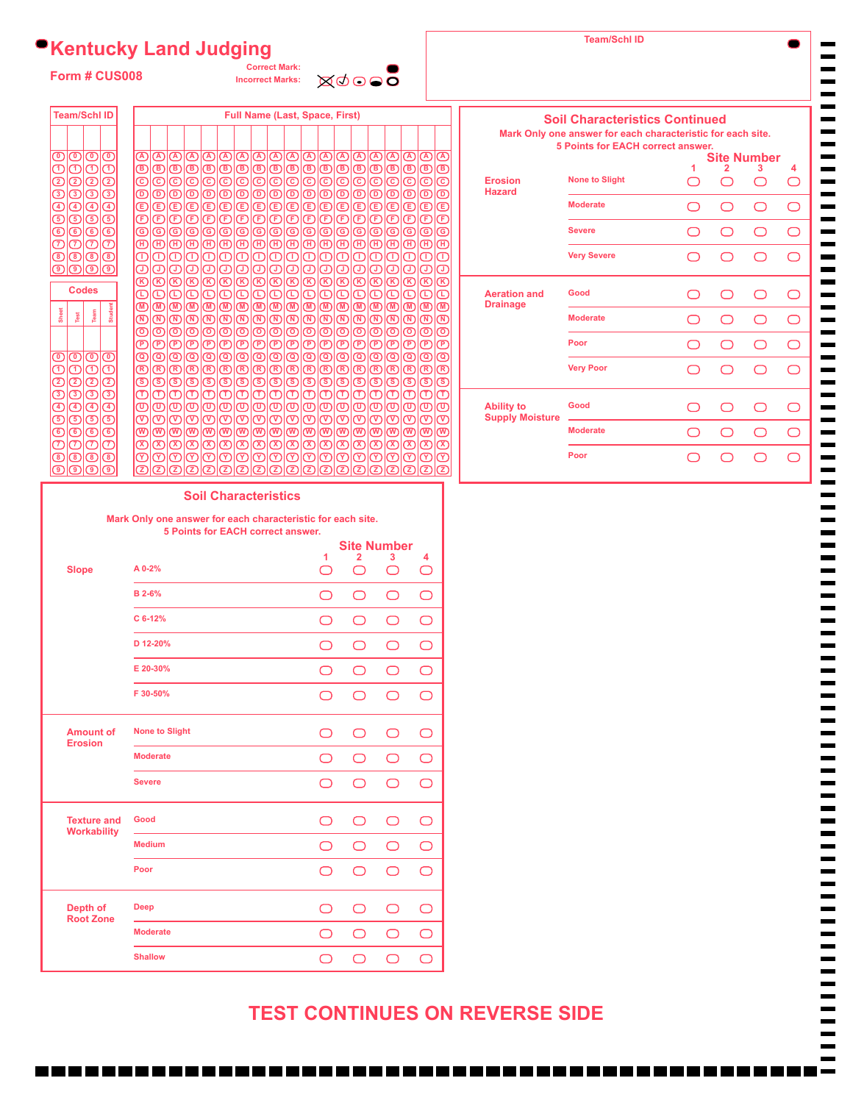# $Q$ **Kentucky Land Judging Correct Mark:**

**Form # CUS008**

<u> Karl Harrison (</u>

a ka a ka

**Team/Schl ID**

| <b>Team/Schl ID</b><br><b>Full Name (Last, Space, First)</b><br>಄಄಄಄<br>00000000000000000000000<br>തിതിതി<br>$\sigma$<br>( ு<br>© © © ©<br>@@@@@@@@@@@@@@@@@@@@<br>0000<br>000000000000000000000000<br>಄಄಄಄<br>(B  B  B  B  B  B  B  B  B  B  B  B<br>(B B B B <br>಄಄಄<br><b>ODOOOOOOOOOOOO</b><br>す<br>(F)<br>旧旧旧<br>$\left( \mathsf{F}\right)$<br>Œ<br>಄಄಄಄<br>முமு<br>⑦<br>$\textcircled{\tiny{H}}$ $\textcircled{\tiny{H}}$ $\textcircled{\tiny{H}}$<br> 0 0 0 0 0 0 0 0 0 0 0 0 0<br>಄಄಄಄<br>ത<br><b>101010</b><br>ம<br>O<br>ூடுகு<br>00000000000000<br>ത<br>முமு<br>ம<br>ற<br>$\sigma$<br>©©©©©©©©©©©©©©©©©©©©<br><b>Codes</b><br>$\textcircled{\scriptsize{\textsf{ID}}}$<br>00000000000<br>⊕<br>OOO<br>$\left( \mathbb{D}\right)$<br>$\circ$<br>⊕<br>Student<br>Sheet<br>Team<br>Test<br>൜<br>$\Omega(\mathbb{R})$<br>$(\overline{N})$<br><u>ololololololololololololololololo</u> lo<br> 0  0  0  0  0  0  0  0  0  0<br>ற<br>முமு<br>$\left( \mathbf{P}\right)$<br>$\circledcirc$<br>$\circled{\scriptstyle{\mathrm{P}}}$<br><u> @ @ @ @ @ @ @ @ @ @ @ @ @</u><br>಄಄಄಄<br>@ @ @ @<br>0101010<br>®<br>© © © ©<br>0000000000000000000000<br> 0 0 0 0 0 0 0 0 0<br>(T<br>回回の<br>O<br>OID<br>O<br>(T)<br>$\textcircled{\scriptsize{1}}$<br><u> @ @ @ @ @ @ @ @ @ @ @ @ @</u><br>@@@@@@@@@@@@@<br>ത<br>തിതിത<br>$ \mathbb{O} $<br>$\circledR$<br>$\sqrt{v}$<br><u>© © © © © © © © © © © © © © © © © ©</u><br>  3  3  3  3  3  3  3  3  3  3 <br>$\sigma$<br>$\circledR$<br>ത്രത്ര<br>$ \mathcal{C}\rangle$<br>ത്ര $\infty$<br>$\circ$<br>തത്രിതിയ<br><u> MUNUMUNUM</u><br>ത്രത്രത്രത<br>$ \mathcal{C}\mathcal{V} $<br>$O$ $O$ $O$<br>$[2][2][2][2][2][2][2][2][2][2][2][2][2][2][2][2][2]$<br>(2)(2)(2)(2)(2)<br><b>Soil Characteristics</b><br>Mark Only one answer for each characteristic for each site.<br><b>5 Points for EACH correct answer.</b><br><b>Site Number</b><br>1<br>3<br>2<br>4<br>A 0-2%<br>◯<br><b>Slope</b><br>∩<br>◯<br>( )<br><b>B</b> 2-6%<br>◯<br>◯<br>○<br>◯<br>C 6-12%<br>◯<br>◯<br>○<br>○<br>D 12-20%<br>◯<br>◯<br>◯<br>○<br>E 20-30%<br>◯<br>◯<br>◯<br>◯<br>F 30-50%<br>$\Box$<br>∩<br>$\cup$<br>$\cup$<br><b>None to Slight</b><br><b>Amount of</b><br>( )<br>$\cup$<br>$\cup$<br>◯<br><b>Erosion</b><br><b>Moderate</b><br>O<br>( )<br>$\cup$<br>◯<br><b>Severe</b><br>◯<br>( )<br>( )<br>( )<br><b>Texture and</b><br>Good<br>◯<br>◯<br>◯<br>◯<br><b>Workability</b><br><b>Medium</b><br>◯<br>◯<br>◯<br>◯<br>Poor<br>◯<br>◯<br>◯<br>◯<br>Depth of<br>Deep<br>( )<br>$\cup$<br>( )<br>( )<br><b>Root Zone</b><br><b>Moderate</b><br>O<br>( )<br>( )<br>()<br><b>Shallow</b> | Form # CUS008                                | <b>Incorrect Marks:</b> | $\boxtimes$ 0000 |  |
|-----------------------------------------------------------------------------------------------------------------------------------------------------------------------------------------------------------------------------------------------------------------------------------------------------------------------------------------------------------------------------------------------------------------------------------------------------------------------------------------------------------------------------------------------------------------------------------------------------------------------------------------------------------------------------------------------------------------------------------------------------------------------------------------------------------------------------------------------------------------------------------------------------------------------------------------------------------------------------------------------------------------------------------------------------------------------------------------------------------------------------------------------------------------------------------------------------------------------------------------------------------------------------------------------------------------------------------------------------------------------------------------------------------------------------------------------------------------------------------------------------------------------------------------------------------------------------------------------------------------------------------------------------------------------------------------------------------------------------------------------------------------------------------------------------------------------------------------------------------------------------------------------------------------------------------------------------------------------------------------------------------------------------------------------------------------------------------------------------------------------------------------------------------------------------------------------------------------------------------------------------------------------------------------------------------------------------------------------------------------------------------------------------------------------------------------------------------------------------------------------------------------------------------------------------------------------------------------------------------------|----------------------------------------------|-------------------------|------------------|--|
|                                                                                                                                                                                                                                                                                                                                                                                                                                                                                                                                                                                                                                                                                                                                                                                                                                                                                                                                                                                                                                                                                                                                                                                                                                                                                                                                                                                                                                                                                                                                                                                                                                                                                                                                                                                                                                                                                                                                                                                                                                                                                                                                                                                                                                                                                                                                                                                                                                                                                                                                                                                                                 |                                              |                         |                  |  |
|                                                                                                                                                                                                                                                                                                                                                                                                                                                                                                                                                                                                                                                                                                                                                                                                                                                                                                                                                                                                                                                                                                                                                                                                                                                                                                                                                                                                                                                                                                                                                                                                                                                                                                                                                                                                                                                                                                                                                                                                                                                                                                                                                                                                                                                                                                                                                                                                                                                                                                                                                                                                                 |                                              |                         |                  |  |
|                                                                                                                                                                                                                                                                                                                                                                                                                                                                                                                                                                                                                                                                                                                                                                                                                                                                                                                                                                                                                                                                                                                                                                                                                                                                                                                                                                                                                                                                                                                                                                                                                                                                                                                                                                                                                                                                                                                                                                                                                                                                                                                                                                                                                                                                                                                                                                                                                                                                                                                                                                                                                 |                                              |                         |                  |  |
|                                                                                                                                                                                                                                                                                                                                                                                                                                                                                                                                                                                                                                                                                                                                                                                                                                                                                                                                                                                                                                                                                                                                                                                                                                                                                                                                                                                                                                                                                                                                                                                                                                                                                                                                                                                                                                                                                                                                                                                                                                                                                                                                                                                                                                                                                                                                                                                                                                                                                                                                                                                                                 |                                              |                         |                  |  |
|                                                                                                                                                                                                                                                                                                                                                                                                                                                                                                                                                                                                                                                                                                                                                                                                                                                                                                                                                                                                                                                                                                                                                                                                                                                                                                                                                                                                                                                                                                                                                                                                                                                                                                                                                                                                                                                                                                                                                                                                                                                                                                                                                                                                                                                                                                                                                                                                                                                                                                                                                                                                                 |                                              |                         |                  |  |
|                                                                                                                                                                                                                                                                                                                                                                                                                                                                                                                                                                                                                                                                                                                                                                                                                                                                                                                                                                                                                                                                                                                                                                                                                                                                                                                                                                                                                                                                                                                                                                                                                                                                                                                                                                                                                                                                                                                                                                                                                                                                                                                                                                                                                                                                                                                                                                                                                                                                                                                                                                                                                 | 0000<br>಄಄಄಄<br>಄಄಄಄<br>಄©©©<br>முமு<br>಄಄಄಄ |                         |                  |  |
|                                                                                                                                                                                                                                                                                                                                                                                                                                                                                                                                                                                                                                                                                                                                                                                                                                                                                                                                                                                                                                                                                                                                                                                                                                                                                                                                                                                                                                                                                                                                                                                                                                                                                                                                                                                                                                                                                                                                                                                                                                                                                                                                                                                                                                                                                                                                                                                                                                                                                                                                                                                                                 |                                              |                         |                  |  |
|                                                                                                                                                                                                                                                                                                                                                                                                                                                                                                                                                                                                                                                                                                                                                                                                                                                                                                                                                                                                                                                                                                                                                                                                                                                                                                                                                                                                                                                                                                                                                                                                                                                                                                                                                                                                                                                                                                                                                                                                                                                                                                                                                                                                                                                                                                                                                                                                                                                                                                                                                                                                                 |                                              |                         |                  |  |
|                                                                                                                                                                                                                                                                                                                                                                                                                                                                                                                                                                                                                                                                                                                                                                                                                                                                                                                                                                                                                                                                                                                                                                                                                                                                                                                                                                                                                                                                                                                                                                                                                                                                                                                                                                                                                                                                                                                                                                                                                                                                                                                                                                                                                                                                                                                                                                                                                                                                                                                                                                                                                 |                                              |                         |                  |  |
|                                                                                                                                                                                                                                                                                                                                                                                                                                                                                                                                                                                                                                                                                                                                                                                                                                                                                                                                                                                                                                                                                                                                                                                                                                                                                                                                                                                                                                                                                                                                                                                                                                                                                                                                                                                                                                                                                                                                                                                                                                                                                                                                                                                                                                                                                                                                                                                                                                                                                                                                                                                                                 |                                              |                         |                  |  |
|                                                                                                                                                                                                                                                                                                                                                                                                                                                                                                                                                                                                                                                                                                                                                                                                                                                                                                                                                                                                                                                                                                                                                                                                                                                                                                                                                                                                                                                                                                                                                                                                                                                                                                                                                                                                                                                                                                                                                                                                                                                                                                                                                                                                                                                                                                                                                                                                                                                                                                                                                                                                                 |                                              |                         |                  |  |
|                                                                                                                                                                                                                                                                                                                                                                                                                                                                                                                                                                                                                                                                                                                                                                                                                                                                                                                                                                                                                                                                                                                                                                                                                                                                                                                                                                                                                                                                                                                                                                                                                                                                                                                                                                                                                                                                                                                                                                                                                                                                                                                                                                                                                                                                                                                                                                                                                                                                                                                                                                                                                 |                                              |                         |                  |  |
|                                                                                                                                                                                                                                                                                                                                                                                                                                                                                                                                                                                                                                                                                                                                                                                                                                                                                                                                                                                                                                                                                                                                                                                                                                                                                                                                                                                                                                                                                                                                                                                                                                                                                                                                                                                                                                                                                                                                                                                                                                                                                                                                                                                                                                                                                                                                                                                                                                                                                                                                                                                                                 |                                              |                         |                  |  |
|                                                                                                                                                                                                                                                                                                                                                                                                                                                                                                                                                                                                                                                                                                                                                                                                                                                                                                                                                                                                                                                                                                                                                                                                                                                                                                                                                                                                                                                                                                                                                                                                                                                                                                                                                                                                                                                                                                                                                                                                                                                                                                                                                                                                                                                                                                                                                                                                                                                                                                                                                                                                                 |                                              |                         |                  |  |
|                                                                                                                                                                                                                                                                                                                                                                                                                                                                                                                                                                                                                                                                                                                                                                                                                                                                                                                                                                                                                                                                                                                                                                                                                                                                                                                                                                                                                                                                                                                                                                                                                                                                                                                                                                                                                                                                                                                                                                                                                                                                                                                                                                                                                                                                                                                                                                                                                                                                                                                                                                                                                 |                                              |                         |                  |  |
|                                                                                                                                                                                                                                                                                                                                                                                                                                                                                                                                                                                                                                                                                                                                                                                                                                                                                                                                                                                                                                                                                                                                                                                                                                                                                                                                                                                                                                                                                                                                                                                                                                                                                                                                                                                                                                                                                                                                                                                                                                                                                                                                                                                                                                                                                                                                                                                                                                                                                                                                                                                                                 |                                              |                         |                  |  |
|                                                                                                                                                                                                                                                                                                                                                                                                                                                                                                                                                                                                                                                                                                                                                                                                                                                                                                                                                                                                                                                                                                                                                                                                                                                                                                                                                                                                                                                                                                                                                                                                                                                                                                                                                                                                                                                                                                                                                                                                                                                                                                                                                                                                                                                                                                                                                                                                                                                                                                                                                                                                                 |                                              |                         |                  |  |
|                                                                                                                                                                                                                                                                                                                                                                                                                                                                                                                                                                                                                                                                                                                                                                                                                                                                                                                                                                                                                                                                                                                                                                                                                                                                                                                                                                                                                                                                                                                                                                                                                                                                                                                                                                                                                                                                                                                                                                                                                                                                                                                                                                                                                                                                                                                                                                                                                                                                                                                                                                                                                 |                                              |                         |                  |  |

#### **Soil Characteristics Continued Mark Only one answer for each characteristic for each site. 5 Points for EACH correct answer. Site Number 1 2 3 4 Erosion None to Slight**  $\bigcirc$  $\bigcirc$  $\bigcirc$ **Hazard Moderate**  $\bigcirc$  $\bigcirc$  $\bigcirc$  $\bigcirc$ **Severe**  $\bigcirc$  $\bigcirc$  $\bigcirc$  $\bigcirc$ **Very Severe**  $\bigcirc$  $\bigcirc$  $\bigcirc$  $\bigcirc$ **Aeration and Good**  $\bigcirc$  $\bigcirc$  $\bigcirc$  $\bigcirc$ **inage Moderate**  $\bigcirc$  $\bigcirc$  $\bigcirc$  $\bigcirc$ **Poor**  $\bigcirc$  $\bigcirc$  $\bigcirc$  $\bigcirc$ **Very Poor**  $\bigcirc$  $\bigcirc$  $\bigcirc$  $\bigcirc$ **Ability to Good**  $\bigcirc$  $\bigcirc$  $\bigcirc$  $\bigcirc$ **Supply Moisture Moderate**  $\bigcirc$  $\bigcirc$  $\bigcirc$  $\bigcirc$ **Poor**  $\bigcirc$  $\bigcirc$  $\bigcirc$  $\bigcirc$

| 5 Points for EACH correct answer.        |                       |               |                     |        |     |  |  |
|------------------------------------------|-----------------------|---------------|---------------------|--------|-----|--|--|
|                                          |                       |               | <b>Site Number</b>  |        |     |  |  |
| <b>Slope</b>                             | A 0-2%                | 1<br>◯        | $\overline{2}$<br>∩ | 3<br>∩ | 4   |  |  |
|                                          | <b>B</b> 2-6%         | ີ )           | ( )                 | ∩      | ( ) |  |  |
|                                          | C 6-12%               | ( )           | ( )                 | ∩      | ( ) |  |  |
|                                          | D 12-20%              | ㄱ             | ◯                   | ◯      | ◠   |  |  |
|                                          | E 20-30%              | ( )           | ◯                   | ◯      | ∩   |  |  |
|                                          | F 30-50%              | ( )           | ( )                 | ( )    | ( ) |  |  |
| <b>Amount of</b><br><b>Erosion</b>       | <b>None to Slight</b> | - 1           | ◯                   | ∩      |     |  |  |
|                                          | <b>Moderate</b>       | ㄱ             | ◠                   | ⌒      | ו   |  |  |
|                                          | <b>Severe</b>         | ່າ            | ⊂                   | ⊂      |     |  |  |
| <b>Texture and</b><br><b>Workability</b> | Good                  | - 1           | ິ                   | ∩      |     |  |  |
|                                          | <b>Medium</b>         | $\rightarrow$ | ( )                 | ( )    | ( ) |  |  |
|                                          | Poor                  | ∩             | ◯                   | ∩      | ו   |  |  |
| Depth of<br><b>Root Zone</b>             | <b>Deep</b>           | $\rightarrow$ | ◯                   | ◯      |     |  |  |
|                                          | <b>Moderate</b>       | ◯             | ◯                   | ◯      | ∩   |  |  |
|                                          | <b>Shallow</b>        |               |                     |        | 51  |  |  |

# **TEST CONTINUES ON REVERSE SIDE**